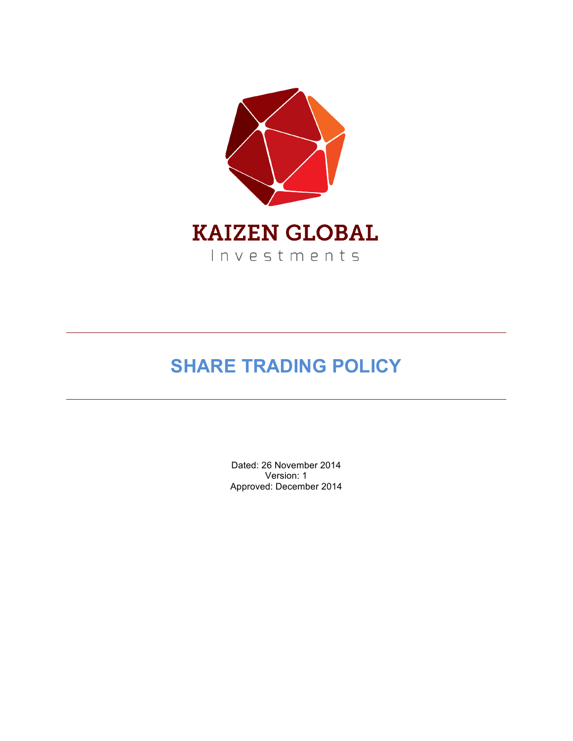

# **SHARE TRADING POLICY**

Dated: 26 November 2014 Version: 1 Approved: December 2014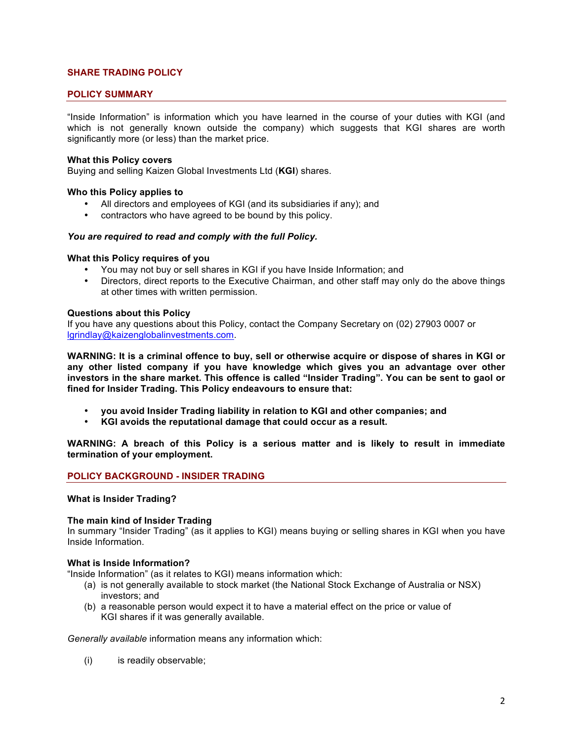# **SHARE TRADING POLICY**

## **POLICY SUMMARY**

"Inside Information" is information which you have learned in the course of your duties with KGI (and which is not generally known outside the company) which suggests that KGI shares are worth significantly more (or less) than the market price.

#### **What this Policy covers**

Buying and selling Kaizen Global Investments Ltd (**KGI**) shares.

#### **Who this Policy applies to**

- All directors and employees of KGI (and its subsidiaries if any); and
- contractors who have agreed to be bound by this policy.

#### *You are required to read and comply with the full Policy.*

## **What this Policy requires of you**

- You may not buy or sell shares in KGI if you have Inside Information; and
- Directors, direct reports to the Executive Chairman, and other staff may only do the above things at other times with written permission.

#### **Questions about this Policy**

If you have any questions about this Policy, contact the Company Secretary on (02) 27903 0007 or lgrindlay@kaizenglobalinvestments.com.

**WARNING: It is a criminal offence to buy, sell or otherwise acquire or dispose of shares in KGI or any other listed company if you have knowledge which gives you an advantage over other investors in the share market. This offence is called "Insider Trading". You can be sent to gaol or fined for Insider Trading. This Policy endeavours to ensure that:**

- **you avoid Insider Trading liability in relation to KGI and other companies; and**
- **KGI avoids the reputational damage that could occur as a result.**

**WARNING: A breach of this Policy is a serious matter and is likely to result in immediate termination of your employment.**

## **POLICY BACKGROUND - INSIDER TRADING**

#### **What is Insider Trading?**

#### **The main kind of Insider Trading**

In summary "Insider Trading" (as it applies to KGI) means buying or selling shares in KGI when you have Inside Information.

#### **What is Inside Information?**

"Inside Information" (as it relates to KGI) means information which:

- (a) is not generally available to stock market (the National Stock Exchange of Australia or NSX) investors; and
- (b) a reasonable person would expect it to have a material effect on the price or value of KGI shares if it was generally available.

*Generally available* information means any information which:

(i) is readily observable;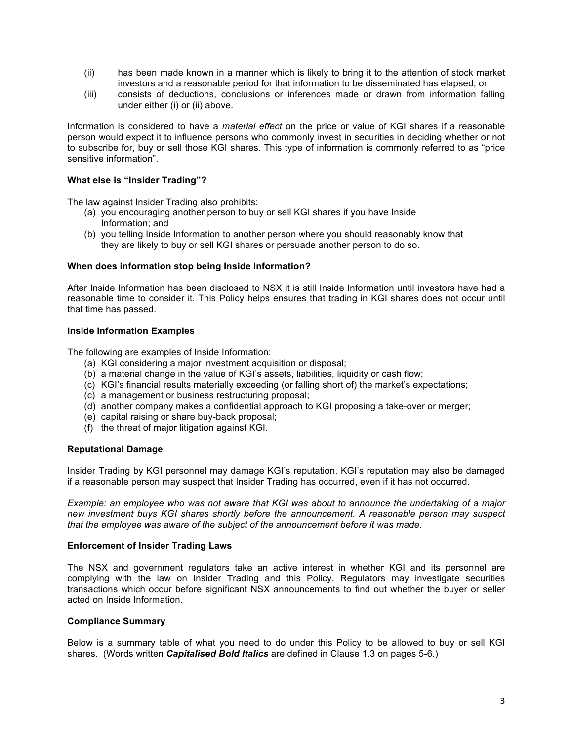- (ii) has been made known in a manner which is likely to bring it to the attention of stock market investors and a reasonable period for that information to be disseminated has elapsed; or
- (iii) consists of deductions, conclusions or inferences made or drawn from information falling under either (i) or (ii) above.

Information is considered to have a *material effect* on the price or value of KGI shares if a reasonable person would expect it to influence persons who commonly invest in securities in deciding whether or not to subscribe for, buy or sell those KGI shares. This type of information is commonly referred to as "price sensitive information".

## **What else is "Insider Trading"?**

The law against Insider Trading also prohibits:

- (a) you encouraging another person to buy or sell KGI shares if you have Inside Information; and
- (b) you telling Inside Information to another person where you should reasonably know that they are likely to buy or sell KGI shares or persuade another person to do so.

## **When does information stop being Inside Information?**

After Inside Information has been disclosed to NSX it is still Inside Information until investors have had a reasonable time to consider it. This Policy helps ensures that trading in KGI shares does not occur until that time has passed.

#### **Inside Information Examples**

The following are examples of Inside Information:

- (a) KGI considering a major investment acquisition or disposal;
- (b) a material change in the value of KGI's assets, liabilities, liquidity or cash flow;
- (c) KGI's financial results materially exceeding (or falling short of) the market's expectations;
- (c) a management or business restructuring proposal;
- (d) another company makes a confidential approach to KGI proposing a take-over or merger;
- (e) capital raising or share buy-back proposal;
- (f) the threat of major litigation against KGI.

## **Reputational Damage**

Insider Trading by KGI personnel may damage KGI's reputation. KGI's reputation may also be damaged if a reasonable person may suspect that Insider Trading has occurred, even if it has not occurred.

*Example: an employee who was not aware that KGI was about to announce the undertaking of a major new investment buys KGI shares shortly before the announcement. A reasonable person may suspect that the employee was aware of the subject of the announcement before it was made.*

## **Enforcement of Insider Trading Laws**

The NSX and government regulators take an active interest in whether KGI and its personnel are complying with the law on Insider Trading and this Policy. Regulators may investigate securities transactions which occur before significant NSX announcements to find out whether the buyer or seller acted on Inside Information.

#### **Compliance Summary**

Below is a summary table of what you need to do under this Policy to be allowed to buy or sell KGI shares. (Words written *Capitalised Bold Italics* are defined in Clause 1.3 on pages 5-6.)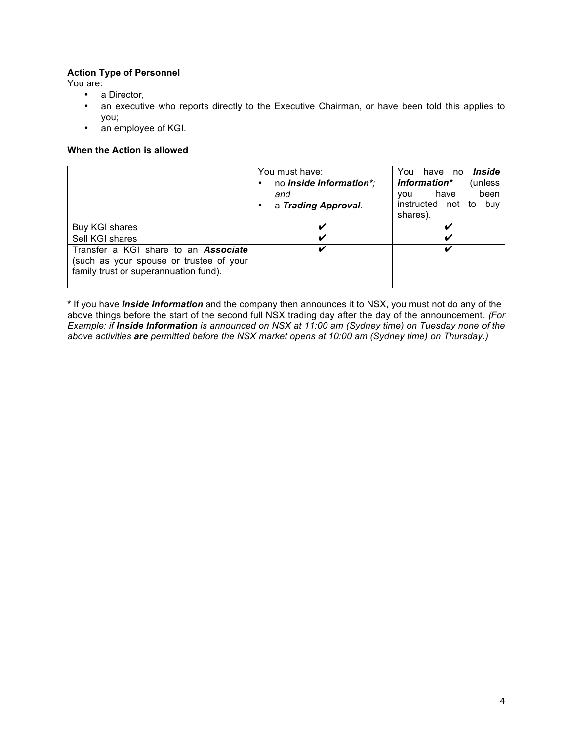# **Action Type of Personnel**

You are:

- a Director,
- an executive who reports directly to the Executive Chairman, or have been told this applies to you;
- an employee of KGI.

# **When the Action is allowed**

|                                                                                                                                 | You must have:<br>no <i>Inside Information*</i> ;<br>and<br>a Trading Approval. | Inside<br>have no<br>You<br>(unless<br>Information*<br>been<br>have<br><b>VOU</b><br>instructed not to<br>buv<br>shares). |
|---------------------------------------------------------------------------------------------------------------------------------|---------------------------------------------------------------------------------|---------------------------------------------------------------------------------------------------------------------------|
| Buy KGI shares                                                                                                                  | ✔                                                                               |                                                                                                                           |
| Sell KGI shares                                                                                                                 | ✔                                                                               | ັ                                                                                                                         |
| Transfer a KGI share to an <b>Associate</b><br>(such as your spouse or trustee of your<br>family trust or superannuation fund). | ✔                                                                               |                                                                                                                           |

**\*** If you have *Inside Information* and the company then announces it to NSX, you must not do any of the above things before the start of the second full NSX trading day after the day of the announcement. *(For Example: if Inside Information is announced on NSX at 11:00 am (Sydney time) on Tuesday none of the above activities are permitted before the NSX market opens at 10:00 am (Sydney time) on Thursday.)*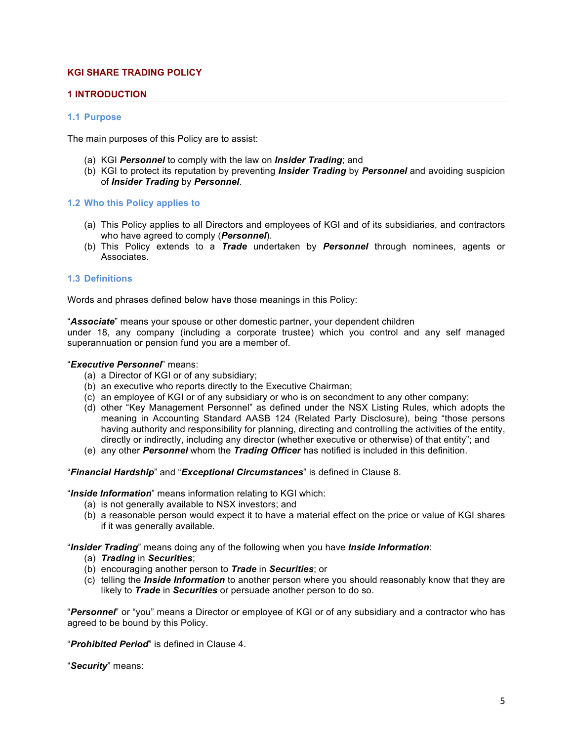# **KGI SHARE TRADING POLICY**

## **1 INTRODUCTION**

#### **1.1 Purpose**

The main purposes of this Policy are to assist:

- (a) KGI *Personnel* to comply with the law on *Insider Trading*; and
- (b) KGI to protect its reputation by preventing *Insider Trading* by *Personnel* and avoiding suspicion of *Insider Trading* by *Personnel*.

#### **1.2 Who this Policy applies to**

- (a) This Policy applies to all Directors and employees of KGI and of its subsidiaries, and contractors who have agreed to comply (*Personnel*).
- (b) This Policy extends to a *Trade* undertaken by *Personnel* through nominees, agents or Associates.

#### **1.3 Definitions**

Words and phrases defined below have those meanings in this Policy:

"*Associate*" means your spouse or other domestic partner, your dependent children

under 18, any company (including a corporate trustee) which you control and any self managed superannuation or pension fund you are a member of.

# "*Executive Personnel*" means:

- (a) a Director of KGI or of any subsidiary;
- (b) an executive who reports directly to the Executive Chairman;
- (c) an employee of KGI or of any subsidiary or who is on secondment to any other company;
- (d) other "Key Management Personnel" as defined under the NSX Listing Rules, which adopts the meaning in Accounting Standard AASB 124 (Related Party Disclosure), being "those persons having authority and responsibility for planning, directing and controlling the activities of the entity, directly or indirectly, including any director (whether executive or otherwise) of that entity"; and
- (e) any other *Personnel* whom the *Trading Officer* has notified is included in this definition.

#### "*Financial Hardship*" and "*Exceptional Circumstances*" is defined in Clause 8.

"*Inside Information*" means information relating to KGI which:

- (a) is not generally available to NSX investors; and
- (b) a reasonable person would expect it to have a material effect on the price or value of KGI shares if it was generally available.

"*Insider Trading*" means doing any of the following when you have *Inside Information*:

- (a) *Trading* in *Securities*;
- (b) encouraging another person to *Trade* in *Securities*; or
- (c) telling the *Inside Information* to another person where you should reasonably know that they are likely to *Trade* in *Securities* or persuade another person to do so.

"*Personnel*" or "you" means a Director or employee of KGI or of any subsidiary and a contractor who has agreed to be bound by this Policy.

"*Prohibited Period*" is defined in Clause 4.

"*Security*" means: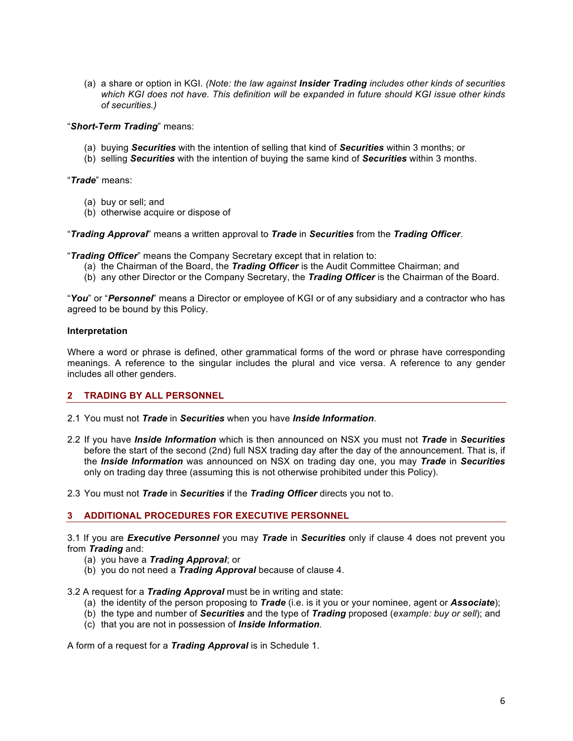(a) a share or option in KGI. *(Note: the law against Insider Trading includes other kinds of securities which KGI does not have. This definition will be expanded in future should KGI issue other kinds of securities.)*

"*Short-Term Trading*" means:

- (a) buying *Securities* with the intention of selling that kind of *Securities* within 3 months; or
- (b) selling *Securities* with the intention of buying the same kind of *Securities* within 3 months.

"*Trade*" means:

- (a) buy or sell; and
- (b) otherwise acquire or dispose of

"*Trading Approval*" means a written approval to *Trade* in *Securities* from the *Trading Officer*.

"*Trading Officer*" means the Company Secretary except that in relation to:

- (a) the Chairman of the Board, the *Trading Officer* is the Audit Committee Chairman; and
- (b) any other Director or the Company Secretary, the *Trading Officer* is the Chairman of the Board.

"*You*" or "*Personnel*" means a Director or employee of KGI or of any subsidiary and a contractor who has agreed to be bound by this Policy.

#### **Interpretation**

Where a word or phrase is defined, other grammatical forms of the word or phrase have corresponding meanings. A reference to the singular includes the plural and vice versa. A reference to any gender includes all other genders.

## **2 TRADING BY ALL PERSONNEL**

- 2.1 You must not *Trade* in *Securities* when you have *Inside Information*.
- 2.2 If you have *Inside Information* which is then announced on NSX you must not *Trade* in *Securities*  before the start of the second (2nd) full NSX trading day after the day of the announcement. That is, if the *Inside Information* was announced on NSX on trading day one, you may *Trade* in *Securities*  only on trading day three (assuming this is not otherwise prohibited under this Policy).
- 2.3 You must not *Trade* in *Securities* if the *Trading Officer* directs you not to.

## **3 ADDITIONAL PROCEDURES FOR EXECUTIVE PERSONNEL**

3.1 If you are *Executive Personnel* you may *Trade* in *Securities* only if clause 4 does not prevent you from *Trading* and:

- (a) you have a *Trading Approval*; or
- (b) you do not need a *Trading Approval* because of clause 4.

## 3.2 A request for a *Trading Approval* must be in writing and state:

- (a) the identity of the person proposing to *Trade* (i.e. is it you or your nominee, agent or *Associate*);
- (b) the type and number of *Securities* and the type of *Trading* proposed (*example: buy or sell*); and
- (c) that you are not in possession of *Inside Information*.

A form of a request for a *Trading Approval* is in Schedule 1.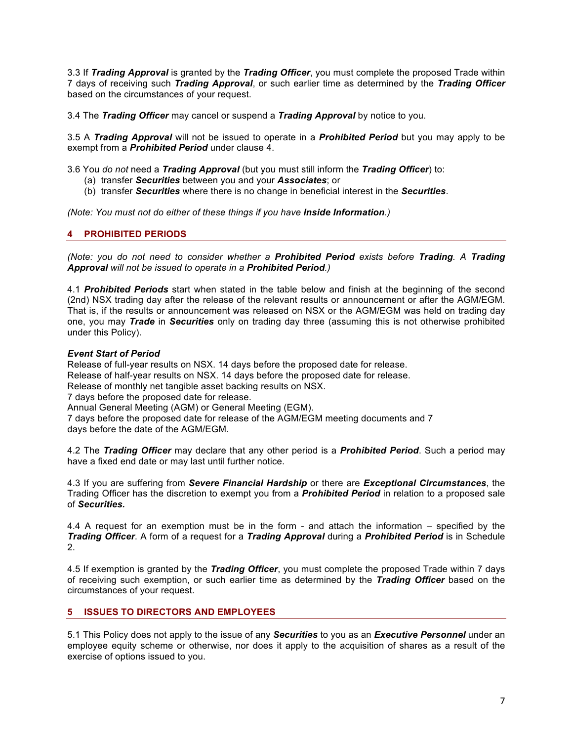3.3 If *Trading Approval* is granted by the *Trading Officer*, you must complete the proposed Trade within 7 days of receiving such *Trading Approval*, or such earlier time as determined by the *Trading Officer*  based on the circumstances of your request.

3.4 The *Trading Officer* may cancel or suspend a *Trading Approval* by notice to you.

3.5 A *Trading Approval* will not be issued to operate in a *Prohibited Period* but you may apply to be exempt from a *Prohibited Period* under clause 4.

3.6 You *do not* need a *Trading Approval* (but you must still inform the *Trading Officer*) to:

- (a) transfer *Securities* between you and your *Associates*; or
- (b) transfer *Securities* where there is no change in beneficial interest in the *Securities*.

*(Note: You must not do either of these things if you have Inside Information.)*

# **4 PROHIBITED PERIODS**

*(Note: you do not need to consider whether a Prohibited Period exists before Trading. A Trading Approval will not be issued to operate in a Prohibited Period.)*

4.1 *Prohibited Periods* start when stated in the table below and finish at the beginning of the second (2nd) NSX trading day after the release of the relevant results or announcement or after the AGM/EGM. That is, if the results or announcement was released on NSX or the AGM/EGM was held on trading day one, you may *Trade* in *Securities* only on trading day three (assuming this is not otherwise prohibited under this Policy).

## *Event Start of Period*

Release of full-year results on NSX. 14 days before the proposed date for release. Release of half-year results on NSX. 14 days before the proposed date for release. Release of monthly net tangible asset backing results on NSX. 7 days before the proposed date for release. Annual General Meeting (AGM) or General Meeting (EGM). 7 days before the proposed date for release of the AGM/EGM meeting documents and 7 days before the date of the AGM/EGM.

4.2 The *Trading Officer* may declare that any other period is a *Prohibited Period*. Such a period may have a fixed end date or may last until further notice.

4.3 If you are suffering from *Severe Financial Hardship* or there are *Exceptional Circumstances*, the Trading Officer has the discretion to exempt you from a *Prohibited Period* in relation to a proposed sale of *Securities.*

4.4 A request for an exemption must be in the form - and attach the information – specified by the *Trading Officer*. A form of a request for a *Trading Approval* during a *Prohibited Period* is in Schedule 2.

4.5 If exemption is granted by the *Trading Officer*, you must complete the proposed Trade within 7 days of receiving such exemption, or such earlier time as determined by the *Trading Officer* based on the circumstances of your request.

# **5 ISSUES TO DIRECTORS AND EMPLOYEES**

5.1 This Policy does not apply to the issue of any *Securities* to you as an *Executive Personnel* under an employee equity scheme or otherwise, nor does it apply to the acquisition of shares as a result of the exercise of options issued to you.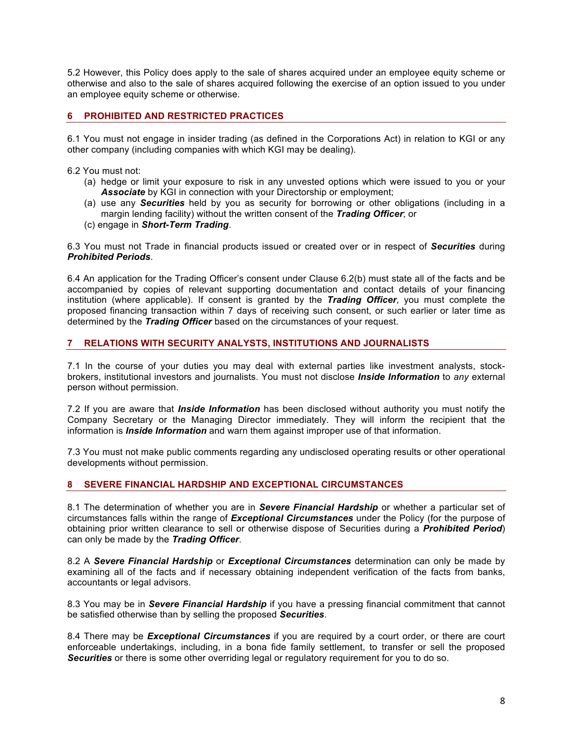5.2 However, this Policy does apply to the sale of shares acquired under an employee equity scheme or otherwise and also to the sale of shares acquired following the exercise of an option issued to you under an employee equity scheme or otherwise.

# **6 PROHIBITED AND RESTRICTED PRACTICES**

6.1 You must not engage in insider trading (as defined in the Corporations Act) in relation to KGI or any other company (including companies with which KGI may be dealing).

6.2 You must not:

- (a) hedge or limit your exposure to risk in any unvested options which were issued to you or your Associate by KGI in connection with your Directorship or employment;
- (a) use any *Securities* held by you as security for borrowing or other obligations (including in a margin lending facility) without the written consent of the *Trading Officer*; or
- (c) engage in *Short-Term Trading*.

6.3 You must not Trade in financial products issued or created over or in respect of *Securities* during *Prohibited Periods*.

6.4 An application for the Trading Officer's consent under Clause 6.2(b) must state all of the facts and be accompanied by copies of relevant supporting documentation and contact details of your financing institution (where applicable). If consent is granted by the *Trading Officer*, you must complete the proposed financing transaction within 7 days of receiving such consent, or such earlier or later time as determined by the *Trading Officer* based on the circumstances of your request.

# **7 RELATIONS WITH SECURITY ANALYSTS, INSTITUTIONS AND JOURNALISTS**

7.1 In the course of your duties you may deal with external parties like investment analysts, stockbrokers, institutional investors and journalists. You must not disclose *Inside Information* to *any* external person without permission.

7.2 If you are aware that *Inside Information* has been disclosed without authority you must notify the Company Secretary or the Managing Director immediately. They will inform the recipient that the information is *Inside Information* and warn them against improper use of that information.

7.3 You must not make public comments regarding any undisclosed operating results or other operational developments without permission.

# **8 SEVERE FINANCIAL HARDSHIP AND EXCEPTIONAL CIRCUMSTANCES**

8.1 The determination of whether you are in *Severe Financial Hardship* or whether a particular set of circumstances falls within the range of *Exceptional Circumstances* under the Policy (for the purpose of obtaining prior written clearance to sell or otherwise dispose of Securities during a *Prohibited Period*) can only be made by the *Trading Officer*.

8.2 A *Severe Financial Hardship* or *Exceptional Circumstances* determination can only be made by examining all of the facts and if necessary obtaining independent verification of the facts from banks, accountants or legal advisors.

8.3 You may be in *Severe Financial Hardship* if you have a pressing financial commitment that cannot be satisfied otherwise than by selling the proposed *Securities*.

8.4 There may be *Exceptional Circumstances* if you are required by a court order, or there are court enforceable undertakings, including, in a bona fide family settlement, to transfer or sell the proposed *Securities* or there is some other overriding legal or regulatory requirement for you to do so.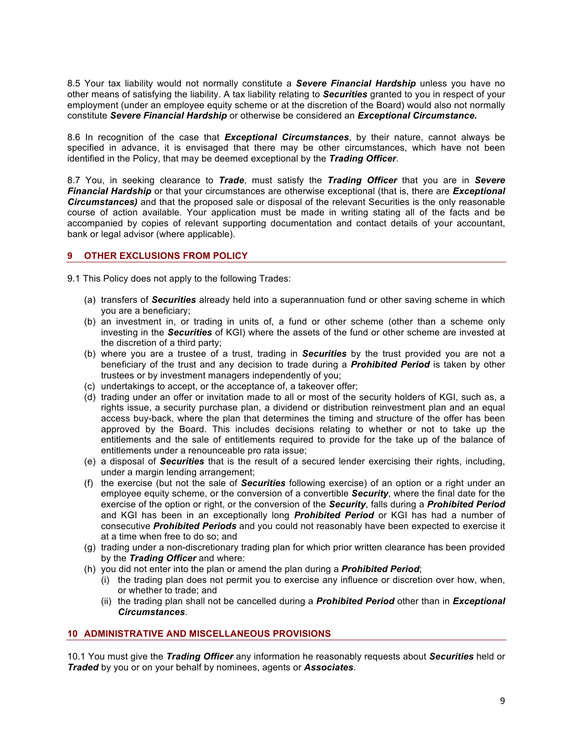8.5 Your tax liability would not normally constitute a *Severe Financial Hardship* unless you have no other means of satisfying the liability. A tax liability relating to *Securities* granted to you in respect of your employment (under an employee equity scheme or at the discretion of the Board) would also not normally constitute *Severe Financial Hardship* or otherwise be considered an *Exceptional Circumstance.*

8.6 In recognition of the case that *Exceptional Circumstances*, by their nature, cannot always be specified in advance, it is envisaged that there may be other circumstances, which have not been identified in the Policy, that may be deemed exceptional by the *Trading Officer*.

8.7 You, in seeking clearance to *Trade*, must satisfy the *Trading Officer* that you are in *Severe Financial Hardship* or that your circumstances are otherwise exceptional (that is, there are *Exceptional Circumstances)* and that the proposed sale or disposal of the relevant Securities is the only reasonable course of action available. Your application must be made in writing stating all of the facts and be accompanied by copies of relevant supporting documentation and contact details of your accountant, bank or legal advisor (where applicable).

## **9 OTHER EXCLUSIONS FROM POLICY**

9.1 This Policy does not apply to the following Trades:

- (a) transfers of *Securities* already held into a superannuation fund or other saving scheme in which you are a beneficiary;
- (b) an investment in, or trading in units of, a fund or other scheme (other than a scheme only investing in the *Securities* of KGI) where the assets of the fund or other scheme are invested at the discretion of a third party;
- (b) where you are a trustee of a trust, trading in *Securities* by the trust provided you are not a beneficiary of the trust and any decision to trade during a *Prohibited Period* is taken by other trustees or by investment managers independently of you;
- (c) undertakings to accept, or the acceptance of, a takeover offer;
- (d) trading under an offer or invitation made to all or most of the security holders of KGI, such as, a rights issue, a security purchase plan, a dividend or distribution reinvestment plan and an equal access buy-back, where the plan that determines the timing and structure of the offer has been approved by the Board. This includes decisions relating to whether or not to take up the entitlements and the sale of entitlements required to provide for the take up of the balance of entitlements under a renounceable pro rata issue;
- (e) a disposal of *Securities* that is the result of a secured lender exercising their rights, including, under a margin lending arrangement;
- (f) the exercise (but not the sale of *Securities* following exercise) of an option or a right under an employee equity scheme, or the conversion of a convertible *Security*, where the final date for the exercise of the option or right, or the conversion of the *Security*, falls during a *Prohibited Period*  and KGI has been in an exceptionally long *Prohibited Period* or KGI has had a number of consecutive *Prohibited Periods* and you could not reasonably have been expected to exercise it at a time when free to do so; and
- (g) trading under a non-discretionary trading plan for which prior written clearance has been provided by the *Trading Officer* and where:
- (h) you did not enter into the plan or amend the plan during a *Prohibited Period*;
	- (i) the trading plan does not permit you to exercise any influence or discretion over how, when, or whether to trade; and
	- (ii) the trading plan shall not be cancelled during a *Prohibited Period* other than in *Exceptional Circumstances*.

# **10 ADMINISTRATIVE AND MISCELLANEOUS PROVISIONS**

10.1 You must give the *Trading Officer* any information he reasonably requests about *Securities* held or *Traded* by you or on your behalf by nominees, agents or *Associates*.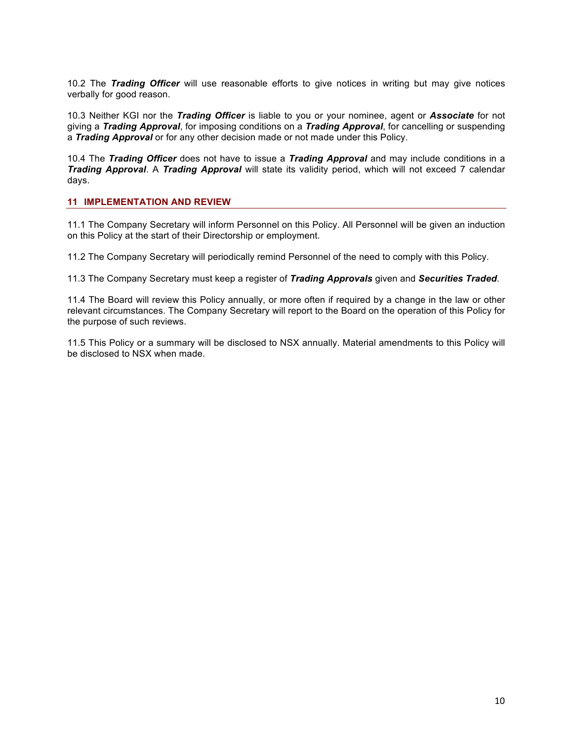10.2 The *Trading Officer* will use reasonable efforts to give notices in writing but may give notices verbally for good reason.

10.3 Neither KGI nor the *Trading Officer* is liable to you or your nominee, agent or *Associate* for not giving a *Trading Approval*, for imposing conditions on a *Trading Approval*, for cancelling or suspending a *Trading Approval* or for any other decision made or not made under this Policy.

10.4 The *Trading Officer* does not have to issue a *Trading Approval* and may include conditions in a *Trading Approval*. A *Trading Approval* will state its validity period, which will not exceed 7 calendar days.

## **11 IMPLEMENTATION AND REVIEW**

11.1 The Company Secretary will inform Personnel on this Policy. All Personnel will be given an induction on this Policy at the start of their Directorship or employment.

11.2 The Company Secretary will periodically remind Personnel of the need to comply with this Policy.

11.3 The Company Secretary must keep a register of *Trading Approvals* given and *Securities Traded*.

11.4 The Board will review this Policy annually, or more often if required by a change in the law or other relevant circumstances. The Company Secretary will report to the Board on the operation of this Policy for the purpose of such reviews.

11.5 This Policy or a summary will be disclosed to NSX annually. Material amendments to this Policy will be disclosed to NSX when made.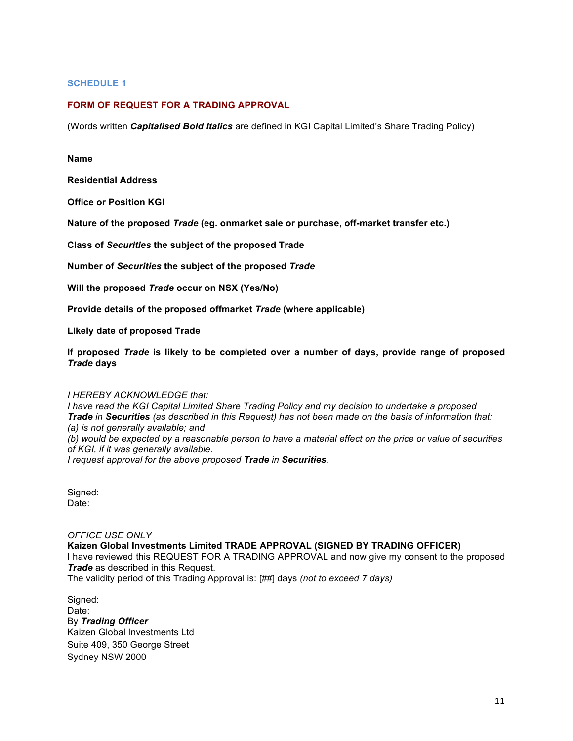## **SCHEDULE 1**

## **FORM OF REQUEST FOR A TRADING APPROVAL**

(Words written *Capitalised Bold Italics* are defined in KGI Capital Limited's Share Trading Policy)

#### **Name**

**Residential Address**

**Office or Position KGI**

**Nature of the proposed** *Trade* **(eg. onmarket sale or purchase, off-market transfer etc.)**

**Class of** *Securities* **the subject of the proposed Trade**

**Number of** *Securities* **the subject of the proposed** *Trade*

**Will the proposed** *Trade* **occur on NSX (Yes/No)**

**Provide details of the proposed offmarket** *Trade* **(where applicable)**

**Likely date of proposed Trade**

**If proposed** *Trade* **is likely to be completed over a number of days, provide range of proposed**  *Trade* **days**

#### *I HEREBY ACKNOWLEDGE that:*

*I have read the KGI Capital Limited Share Trading Policy and my decision to undertake a proposed Trade in Securities (as described in this Request) has not been made on the basis of information that: (a) is not generally available; and (b) would be expected by a reasonable person to have a material effect on the price or value of securities of KGI, if it was generally available.*

*I request approval for the above proposed Trade in Securities.*

Signed: Date:

#### *OFFICE USE ONLY*

**Kaizen GIobal Investments Limited TRADE APPROVAL (SIGNED BY TRADING OFFICER)** I have reviewed this REQUEST FOR A TRADING APPROVAL and now give my consent to the proposed *Trade* as described in this Request. The validity period of this Trading Approval is: [##] days *(not to exceed 7 days)*

Signed: Date: By *Trading Officer* Kaizen Global Investments Ltd Suite 409, 350 George Street Sydney NSW 2000